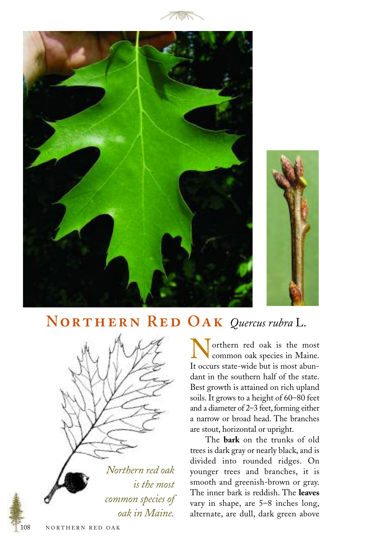





## **N R O** *Quercus rubra* L.



Northern red oak is the most<br>common oak species in Maine. It occurs state-wide but is most abundant in the southern half of the state. Best growth is attained on rich upland soils. It grows to a height of 60–80 feet and a diameter of 2–3 feet, forming either a narrow or broad head. The branches are stout, horizontal or upright.

The **bark** on the trunks of old trees is dark gray or nearly black, and is divided into rounded ridges. On younger trees and branches, it is smooth and greenish-brown or gray. The inner bark is reddish. The **leaves** vary in shape, are 5–8 inches long, alternate, are dull, dark green above

108 NORTHERN RED OAK